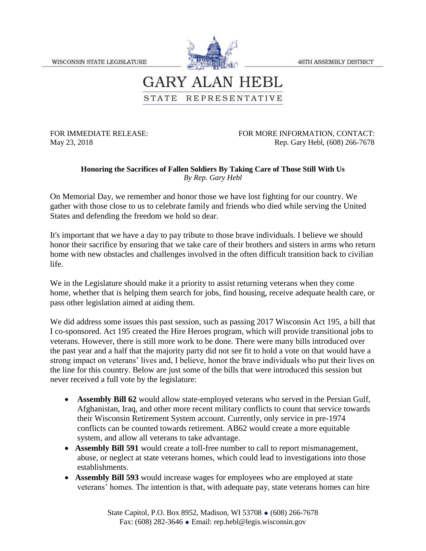**46TH ASSEMBLY DISTRICT** 



## **GARY ALAN HEBL** STATE REPRESENTATIVE

FOR IMMEDIATE RELEASE: FOR MORE INFORMATION, CONTACT: May 23, 2018 Rep. Gary Hebl, (608) 266-7678

## **Honoring the Sacrifices of Fallen Soldiers By Taking Care of Those Still With Us** *By Rep. Gary Hebl*

On Memorial Day, we remember and honor those we have lost fighting for our country. We gather with those close to us to celebrate family and friends who died while serving the United States and defending the freedom we hold so dear.

It's important that we have a day to pay tribute to those brave individuals. I believe we should honor their sacrifice by ensuring that we take care of their brothers and sisters in arms who return home with new obstacles and challenges involved in the often difficult transition back to civilian life.

We in the Legislature should make it a priority to assist returning veterans when they come home, whether that is helping them search for jobs, find housing, receive adequate health care, or pass other legislation aimed at aiding them.

We did address some issues this past session, such as passing 2017 Wisconsin Act 195, a bill that I co-sponsored. Act 195 created the Hire Heroes program, which will provide transitional jobs to veterans. However, there is still more work to be done. There were many bills introduced over the past year and a half that the majority party did not see fit to hold a vote on that would have a strong impact on veterans' lives and, I believe, honor the brave individuals who put their lives on the line for this country. Below are just some of the bills that were introduced this session but never received a full vote by the legislature:

- **Assembly Bill 62** would allow state-employed veterans who served in the Persian Gulf, Afghanistan, Iraq, and other more recent military conflicts to count that service towards their Wisconsin Retirement System account. Currently, only service in pre-1974 conflicts can be counted towards retirement. AB62 would create a more equitable system, and allow all veterans to take advantage.
- **Assembly Bill 591** would create a toll-free number to call to report mismanagement, abuse, or neglect at state veterans homes, which could lead to investigations into those establishments.
- **Assembly Bill 593** would increase wages for employees who are employed at state veterans' homes. The intention is that, with adequate pay, state veterans homes can hire